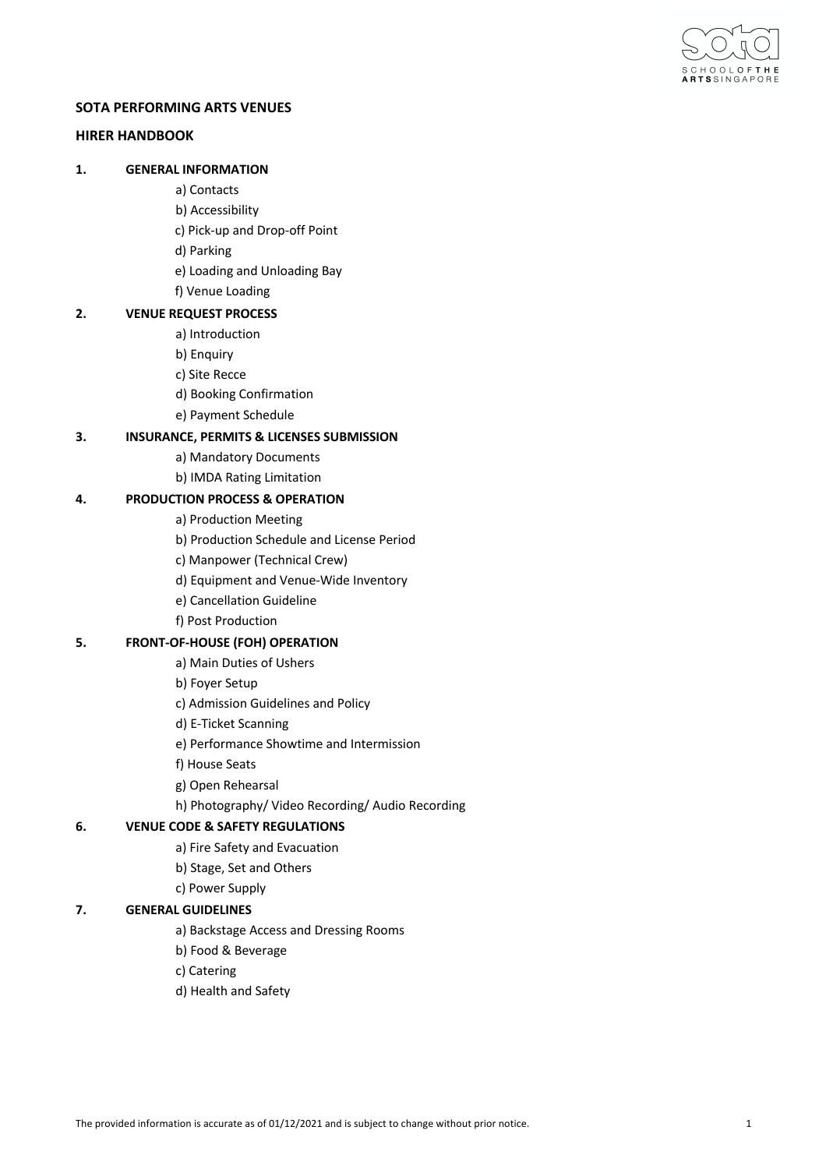

# **SOTA PERFORMING ARTS VENUES**

# **HIRER HANDBOOK**

# **1. GENERAL INFORMATION**

- a) Contacts
- b) Accessibility
- c) Pick-up and Drop-off Point
- d) Parking
- e) Loading and Unloading Bay
- f) Venue Loading

# **2. VENUE REQUEST PROCESS**

- a) Introduction
- b) Enquiry
- c) Site Recce
- d) Booking Confirmation
- e) Payment Schedule

# **3. INSURANCE, PERMITS & LICENSES SUBMISSION**

- a) Mandatory Documents
- b) IMDA Rating Limitation

# **4. PRODUCTION PROCESS & OPERATION**

- a) Production Meeting
- b) Production Schedule and License Period
- c) Manpower (Technical Crew)
- d) Equipment and Venue-Wide Inventory
- e) Cancellation Guideline
- f) Post Production

# **5. FRONT-OF-HOUSE (FOH) OPERATION**

- a) Main Duties of Ushers
- b) Foyer Setup
- c) Admission Guidelines and Policy
- d) E-Ticket Scanning
- e) Performance Showtime and Intermission
- f) House Seats
- g) Open Rehearsal
- h) Photography/ Video Recording/ Audio Recording

# **6. VENUE CODE & SAFETY REGULATIONS**

- a) Fire Safety and Evacuation
- b) Stage, Set and Others
- c) Power Supply

# **7. GENERAL GUIDELINES**

- a) Backstage Access and Dressing Rooms
- b) Food & Beverage
- c) Catering
- d) Health and Safety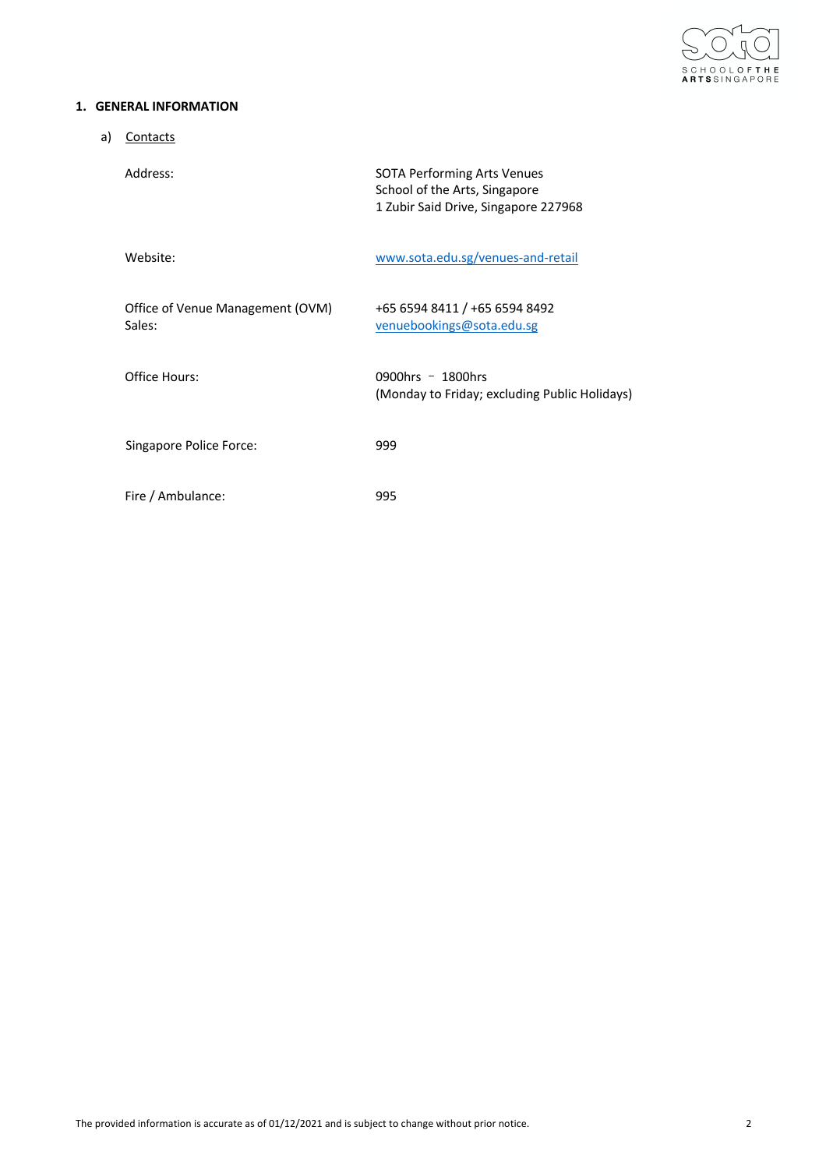

# **1. GENERAL INFORMATION**

| a) | Contacts                                   |                                                                                                             |
|----|--------------------------------------------|-------------------------------------------------------------------------------------------------------------|
|    | Address:                                   | <b>SOTA Performing Arts Venues</b><br>School of the Arts, Singapore<br>1 Zubir Said Drive, Singapore 227968 |
|    | Website:                                   | www.sota.edu.sg/venues-and-retail                                                                           |
|    | Office of Venue Management (OVM)<br>Sales: | +65 6594 8411 / +65 6594 8492<br>venuebookings@sota.edu.sg                                                  |
|    | Office Hours:                              | 0900hrs $-$ 1800hrs<br>(Monday to Friday; excluding Public Holidays)                                        |
|    | Singapore Police Force:                    | 999                                                                                                         |
|    | Fire / Ambulance:                          | 995                                                                                                         |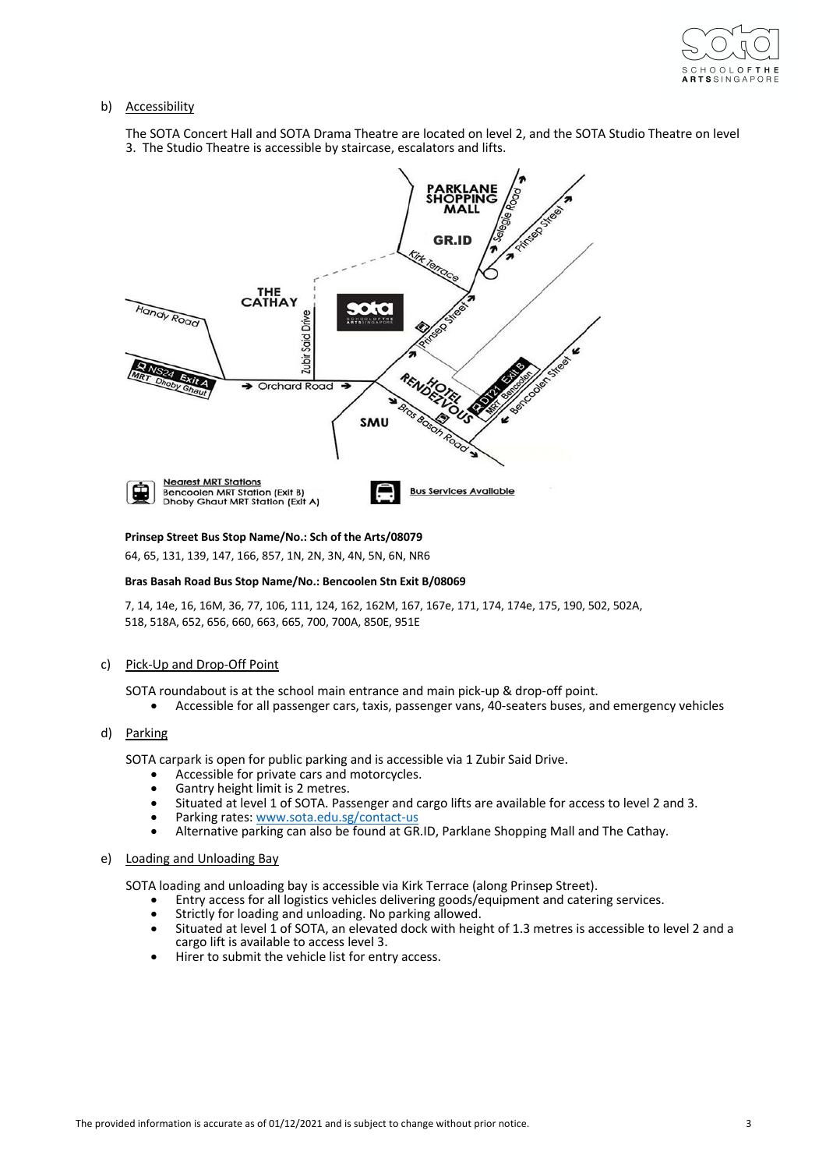

## b) Accessibility

The SOTA Concert Hall and SOTA Drama Theatre are located on level 2, and the SOTA Studio Theatre on level 3. The Studio Theatre is accessible by staircase, escalators and lifts.



**Prinsep Street Bus Stop Name/No.: Sch of the Arts/08079**

64, 65, 131, 139, 147, 166, 857, 1N, 2N, 3N, 4N, 5N, 6N, NR6

## **Bras Basah Road Bus Stop Name/No.: Bencoolen Stn Exit B/08069**

7, 14, 14e, 16, 16M, 36, 77, 106, 111, 124, 162, 162M, 167, 167e, 171, 174, 174e, 175, 190, 502, 502A, 518, 518A, 652, 656, 660, 663, 665, 700, 700A, 850E, 951E

# c) Pick-Up and Drop-Off Point

SOTA roundabout is at the school main entrance and main pick-up & drop-off point.

• Accessible for all passenger cars, taxis, passenger vans, 40-seaters buses, and emergency vehicles

# d) Parking

SOTA carpark is open for public parking and is accessible via 1 Zubir Said Drive.

- Accessible for private cars and motorcycles.
- Gantry height limit is 2 metres.
- Situated at level 1 of SOTA. Passenger and cargo lifts are available for access to level 2 and 3.
- Parking rates: www.sota.edu.sg/contact-us
- Alternative parking can also be found at GR.ID, Parklane Shopping Mall and The Cathay.

## e) Loading and Unloading Bay

SOTA loading and unloading bay is accessible via Kirk Terrace (along Prinsep Street).

- Entry access for all logistics vehicles delivering goods/equipment and catering services.
- Strictly for loading and unloading. No parking allowed.
- Situated at level 1 of SOTA, an elevated dock with height of 1.3 metres is accessible to level 2 and a cargo lift is available to access level 3.
- Hirer to submit the vehicle list for entry access.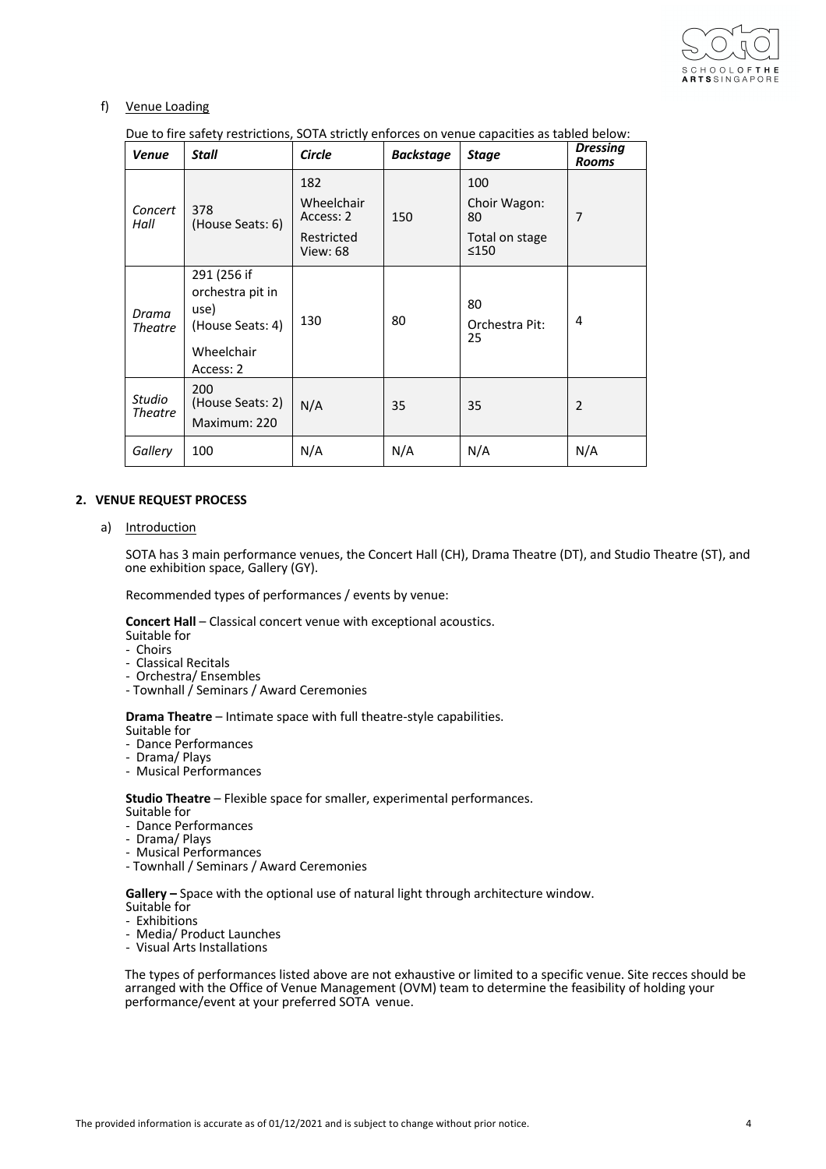

# f) Venue Loading

Due to fire safety restrictions, SOTA strictly enforces on venue capacities as tabled below:

| <b>Venue</b>      | Stall                                                                                  | Circle                                                          | <b>Backstage</b> | <b>Stage</b>                                        | <b>Dressing</b><br><b>Rooms</b> |
|-------------------|----------------------------------------------------------------------------------------|-----------------------------------------------------------------|------------------|-----------------------------------------------------|---------------------------------|
| Concert<br>Hall   | 378<br>(House Seats: 6)                                                                | 182<br>Wheelchair<br>Access: 2<br>Restricted<br><b>View: 68</b> | 150              | 100<br>Choir Wagon:<br>80<br>Total on stage<br>≤150 | 7                               |
| Drama<br>Theatre  | 291 (256 if<br>orchestra pit in<br>use)<br>(House Seats: 4)<br>Wheelchair<br>Access: 2 | 130                                                             | 80               | 80<br>Orchestra Pit:<br>25                          | 4                               |
| Studio<br>Theatre | 200<br>(House Seats: 2)<br>Maximum: 220                                                | N/A                                                             | 35               | 35                                                  | $\overline{2}$                  |
| Gallery           | 100                                                                                    | N/A                                                             | N/A              | N/A                                                 | N/A                             |

# **2. VENUE REQUEST PROCESS**

## a) Introduction

SOTA has 3 main performance venues, the Concert Hall (CH), Drama Theatre (DT), and Studio Theatre (ST), and one exhibition space, Gallery (GY).

Recommended types of performances / events by venue:

**Concert Hall** – Classical concert venue with exceptional acoustics.

- Suitable for
- Choirs
- Classical Recitals
- Orchestra/ Ensembles
- Townhall / Seminars / Award Ceremonies

**Drama Theatre** – Intimate space with full theatre-style capabilities.

- Suitable for - Dance Performances
- Drama/ Plays
- Musical Performances

## **Studio Theatre** – Flexible space for smaller, experimental performances.

- Suitable for
- Dance Performances
- Drama/ Plays
- 
- Townhall / Seminars / Award Ceremonies

**Gallery –** Space with the optional use of natural light through architecture window.

- Suitable for
- Exhibitions
- Media/ Product Launches
- Visual Arts Installations

The types of performances listed above are not exhaustive or limited to a specific venue. Site recces should be arranged with the Office of Venue Management (OVM) team to determine the feasibility of holding your performance/event at your preferred SOTA venue.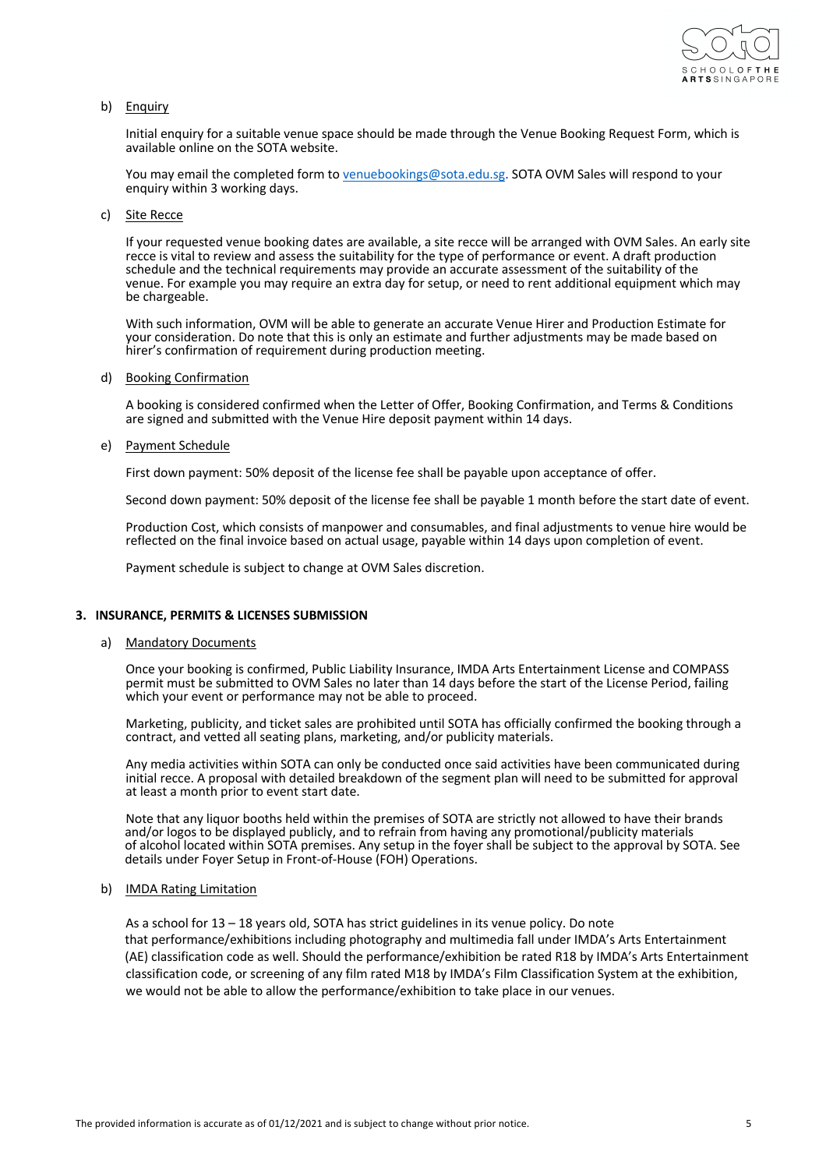

## b) Enquiry

Initial enquiry for a suitable venue space should be made through the Venue Booking Request Form, which is available online on the SOTA website.

You may email the completed form to venuebookings@sota.edu.sg. SOTA OVM Sales will respond to your enquiry within 3 working days.

c) Site Recce

If your requested venue booking dates are available, a site recce will be arranged with OVM Sales. An early site recce is vital to review and assess the suitability for the type of performance or event. A draft production schedule and the technical requirements may provide an accurate assessment of the suitability of the venue. For example you may require an extra day for setup, or need to rent additional equipment which may be chargeable.

With such information, OVM will be able to generate an accurate Venue Hirer and Production Estimate for your consideration. Do note that this is only an estimate and further adjustments may be made based on hirer's confirmation of requirement during production meeting.

#### d) Booking Confirmation

A booking is considered confirmed when the Letter of Offer, Booking Confirmation, and Terms & Conditions are signed and submitted with the Venue Hire deposit payment within 14 days.

#### e) Payment Schedule

First down payment: 50% deposit of the license fee shall be payable upon acceptance of offer.

Second down payment: 50% deposit of the license fee shall be payable 1 month before the start date of event.

Production Cost, which consists of manpower and consumables, and final adjustments to venue hire would be reflected on the final invoice based on actual usage, payable within 14 days upon completion of event.

Payment schedule is subject to change at OVM Sales discretion.

## **3. INSURANCE, PERMITS & LICENSES SUBMISSION**

a) Mandatory Documents

Once your booking is confirmed, Public Liability Insurance, IMDA Arts Entertainment License and COMPASS permit must be submitted to OVM Sales no later than 14 days before the start of the License Period, failing which your event or performance may not be able to proceed.

Marketing, publicity, and ticket sales are prohibited until SOTA has officially confirmed the booking through a contract, and vetted all seating plans, marketing, and/or publicity materials.

Any media activities within SOTA can only be conducted once said activities have been communicated during initial recce. A proposal with detailed breakdown of the segment plan will need to be submitted for approval at least a month prior to event start date.

Note that any liquor booths held within the premises of SOTA are strictly not allowed to have their brands and/or logos to be displayed publicly, and to refrain from having any promotional/publicity materials of alcohol located within SOTA premises. Any setup in the foyer shall be subject to the approval by SOTA. See details under Foyer Setup in Front-of-House (FOH) Operations.

#### b) IMDA Rating Limitation

As a school for 13 – 18 years old, SOTA has strict guidelines in its venue policy. Do note that performance/exhibitions including photography and multimedia fall under IMDA's Arts Entertainment (AE) classification code as well. Should the performance/exhibition be rated R18 by IMDA's Arts Entertainment classification code, or screening of any film rated M18 by IMDA's Film Classification System at the exhibition, we would not be able to allow the performance/exhibition to take place in our venues.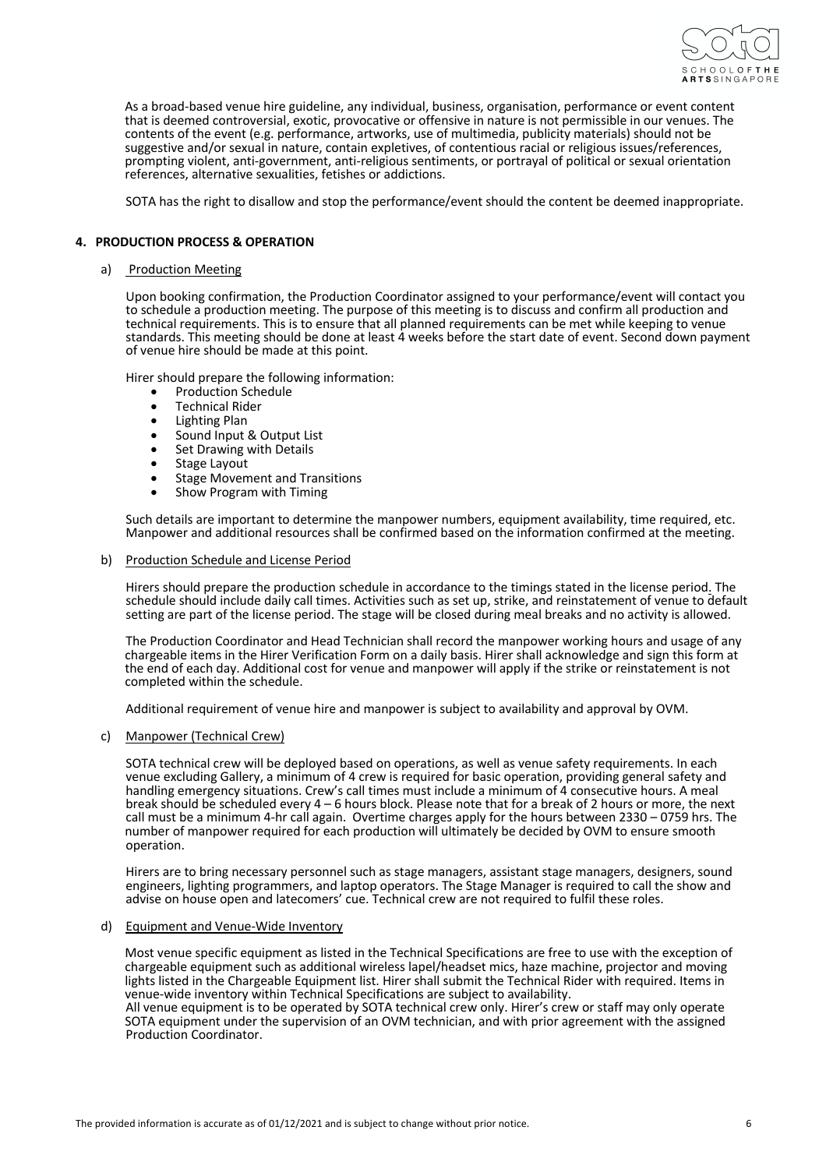

As a broad-based venue hire guideline, any individual, business, organisation, performance or event content that is deemed controversial, exotic, provocative or offensive in nature is not permissible in our venues. The contents of the event (e.g. performance, artworks, use of multimedia, publicity materials) should not be suggestive and/or sexual in nature, contain expletives, of contentious racial or religious issues/references, prompting violent, anti-government, anti-religious sentiments, or portrayal of political or sexual orientation references, alternative sexualities, fetishes or addictions.

SOTA has the right to disallow and stop the performance/event should the content be deemed inappropriate.

## **4. PRODUCTION PROCESS & OPERATION**

#### a) Production Meeting

Upon booking confirmation, the Production Coordinator assigned to your performance/event will contact you to schedule a production meeting. The purpose of this meeting is to discuss and confirm all production and technical requirements. This is to ensure that all planned requirements can be met while keeping to venue standards. This meeting should be done at least 4 weeks before the start date of event. Second down payment of venue hire should be made at this point.

Hirer should prepare the following information:

- Production Schedule<br>• Technical Rider
- Technical Rider
- Lighting Plan
- Sound Input & Output List
- Set Drawing with Details
- Stage Layout
- Stage Movement and Transitions
- Show Program with Timing

Such details are important to determine the manpower numbers, equipment availability, time required, etc. Manpower and additional resources shall be confirmed based on the information confirmed at the meeting.

### b) Production Schedule and License Period

Hirers should prepare the production schedule in accordance to the timings stated in the license period. The schedule should include daily call times. Activities such as set up, strike, and reinstatement of venue to default setting are part of the license period. The stage will be closed during meal breaks and no activity is allowed.

The Production Coordinator and Head Technician shall record the manpower working hours and usage of any chargeable items in the Hirer Verification Form on a daily basis. Hirer shall acknowledge and sign this form at the end of each day. Additional cost for venue and manpower will apply if the strike or reinstatement is not completed within the schedule.

Additional requirement of venue hire and manpower is subject to availability and approval by OVM.

c) Manpower (Technical Crew)

SOTA technical crew will be deployed based on operations, as well as venue safety requirements. In each venue excluding Gallery, a minimum of 4 crew is required for basic operation, providing general safety and handling emergency situations. Crew's call times must include a minimum of 4 consecutive hours. A meal break should be scheduled every 4 – 6 hours block. Please note that for a break of 2 hours or more, the next call must be a minimum 4-hr call again. Overtime charges apply for the hours between 2330 – 0759 hrs. The number of manpower required for each production will ultimately be decided by OVM to ensure smooth operation.

Hirers are to bring necessary personnel such as stage managers, assistant stage managers, designers, sound engineers, lighting programmers, and laptop operators. The Stage Manager is required to call the show and advise on house open and latecomers' cue. Technical crew are not required to fulfil these roles.

### d) Equipment and Venue-Wide Inventory

Most venue specific equipment as listed in the Technical Specifications are free to use with the exception of chargeable equipment such as additional wireless lapel/headset mics, haze machine, projector and moving lights listed in the Chargeable Equipment list. Hirer shall submit the Technical Rider with required. Items in venue-wide inventory within Technical Specifications are subject to availability.

All venue equipment is to be operated by SOTA technical crew only. Hirer's crew or staff may only operate SOTA equipment under the supervision of an OVM technician, and with prior agreement with the assigned Production Coordinator.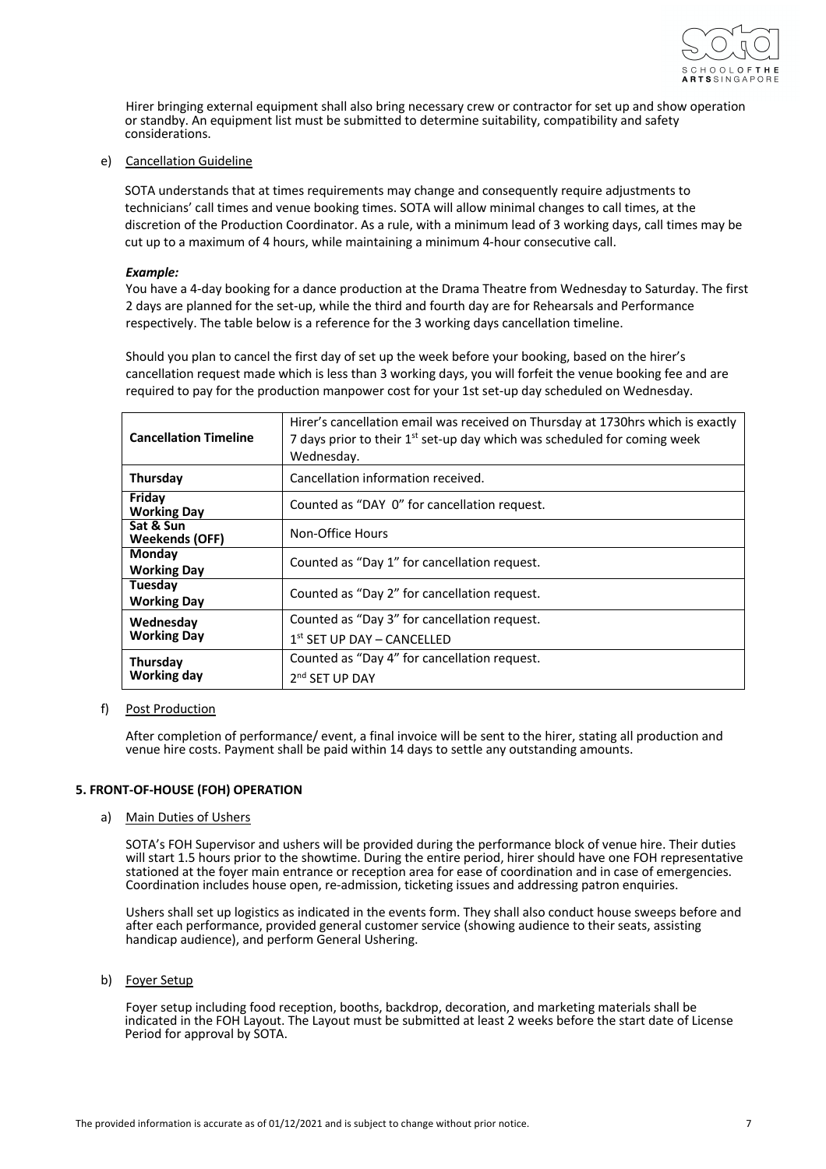

Hirer bringing external equipment shall also bring necessary crew or contractor for set up and show operation or standby. An equipment list must be submitted to determine suitability, compatibility and safety considerations.

## e) Cancellation Guideline

SOTA understands that at times requirements may change and consequently require adjustments to technicians' call times and venue booking times. SOTA will allow minimal changes to call times, at the discretion of the Production Coordinator. As a rule, with a minimum lead of 3 working days, call times may be cut up to a maximum of 4 hours, while maintaining a minimum 4-hour consecutive call.

### *Example:*

You have a 4-day booking for a dance production at the Drama Theatre from Wednesday to Saturday. The first 2 days are planned for the set-up, while the third and fourth day are for Rehearsals and Performance respectively. The table below is a reference for the 3 working days cancellation timeline.

Should you plan to cancel the first day of set up the week before your booking, based on the hirer's cancellation request made which is less than 3 working days, you will forfeit the venue booking fee and are required to pay for the production manpower cost for your 1st set-up day scheduled on Wednesday.

| <b>Cancellation Timeline</b>       | Hirer's cancellation email was received on Thursday at 1730hrs which is exactly<br>7 days prior to their 1 <sup>st</sup> set-up day which was scheduled for coming week<br>Wednesday. |
|------------------------------------|---------------------------------------------------------------------------------------------------------------------------------------------------------------------------------------|
| Thursday                           | Cancellation information received.                                                                                                                                                    |
| Friday<br><b>Working Day</b>       | Counted as "DAY 0" for cancellation request.                                                                                                                                          |
| Sat & Sun<br><b>Weekends (OFF)</b> | Non-Office Hours                                                                                                                                                                      |
| Monday<br><b>Working Day</b>       | Counted as "Day 1" for cancellation request.                                                                                                                                          |
| Tuesday<br><b>Working Day</b>      | Counted as "Day 2" for cancellation request.                                                                                                                                          |
| Wednesday                          | Counted as "Day 3" for cancellation request.                                                                                                                                          |
| <b>Working Day</b>                 | $1st$ SET UP DAY – CANCELLED                                                                                                                                                          |
| Thursday                           | Counted as "Day 4" for cancellation request.                                                                                                                                          |
| <b>Working day</b>                 | 2 <sup>nd</sup> SFT UP DAY                                                                                                                                                            |

## f) Post Production

After completion of performance/ event, a final invoice will be sent to the hirer, stating all production and venue hire costs. Payment shall be paid within 14 days to settle any outstanding amounts.

## **5. FRONT-OF-HOUSE (FOH) OPERATION**

a) Main Duties of Ushers

SOTA's FOH Supervisor and ushers will be provided during the performance block of venue hire. Their duties will start 1.5 hours prior to the showtime. During the entire period, hirer should have one FOH representative stationed at the foyer main entrance or reception area for ease of coordination and in case of emergencies. Coordination includes house open, re-admission, ticketing issues and addressing patron enquiries.

Ushers shall set up logistics as indicated in the events form. They shall also conduct house sweeps before and after each performance, provided general customer service (showing audience to their seats, assisting handicap audience), and perform General Ushering.

b) Foyer Setup

Foyer setup including food reception, booths, backdrop, decoration, and marketing materials shall be indicated in the FOH Layout. The Layout must be submitted at least 2 weeks before the start date of License Period for approval by SOTA.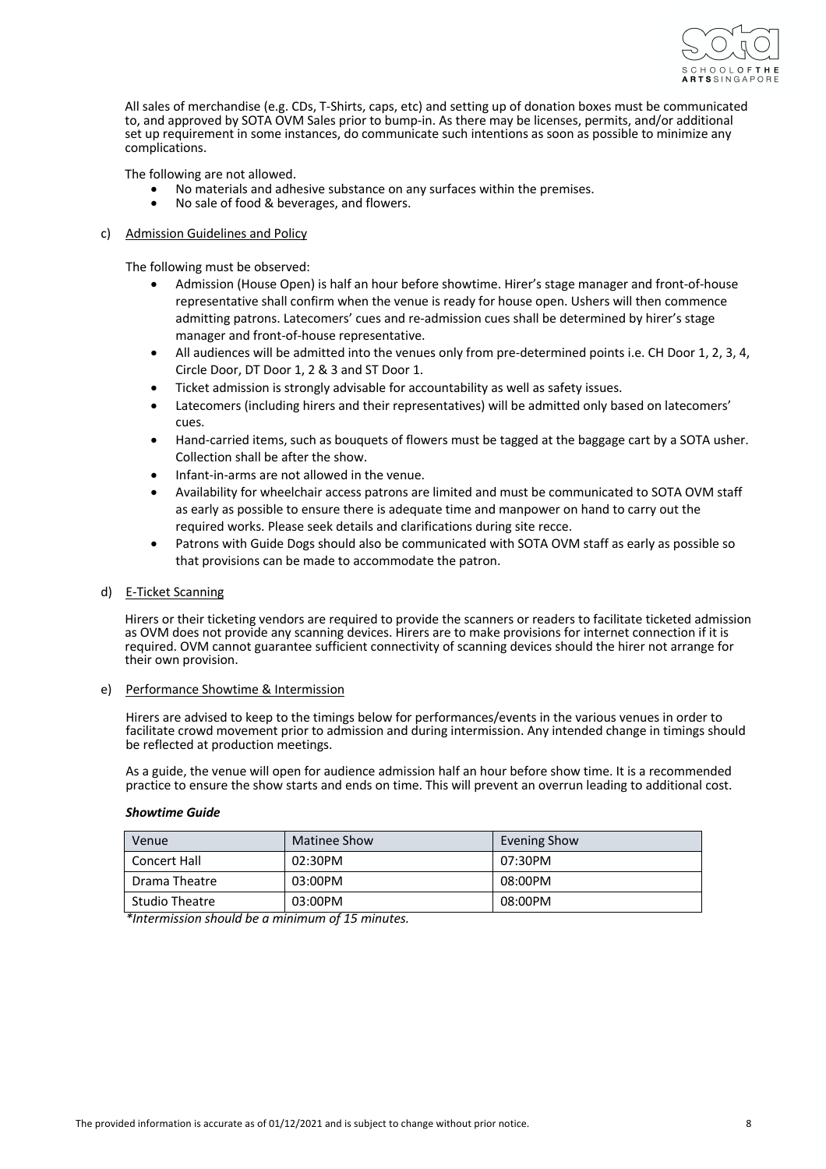

All sales of merchandise (e.g. CDs, T-Shirts, caps, etc) and setting up of donation boxes must be communicated to, and approved by SOTA OVM Sales prior to bump-in. As there may be licenses, permits, and/or additional set up requirement in some instances, do communicate such intentions as soon as possible to minimize any complications.

The following are not allowed.

- No materials and adhesive substance on any surfaces within the premises.
- No sale of food & beverages, and flowers.

## c) Admission Guidelines and Policy

The following must be observed:

- Admission (House Open) is half an hour before showtime. Hirer's stage manager and front-of-house representative shall confirm when the venue is ready for house open. Ushers will then commence admitting patrons. Latecomers' cues and re-admission cues shall be determined by hirer's stage manager and front-of-house representative.
- All audiences will be admitted into the venues only from pre-determined points i.e. CH Door 1, 2, 3, 4, Circle Door, DT Door 1, 2 & 3 and ST Door 1.
- Ticket admission is strongly advisable for accountability as well as safety issues.
- Latecomers (including hirers and their representatives) will be admitted only based on latecomers' cues.
- Hand-carried items, such as bouquets of flowers must be tagged at the baggage cart by a SOTA usher. Collection shall be after the show.
- Infant-in-arms are not allowed in the venue.
- Availability for wheelchair access patrons are limited and must be communicated to SOTA OVM staff as early as possible to ensure there is adequate time and manpower on hand to carry out the required works. Please seek details and clarifications during site recce.
- Patrons with Guide Dogs should also be communicated with SOTA OVM staff as early as possible so that provisions can be made to accommodate the patron.

## d) E-Ticket Scanning

Hirers or their ticketing vendors are required to provide the scanners or readers to facilitate ticketed admission as OVM does not provide any scanning devices. Hirers are to make provisions for internet connection if it is required. OVM cannot guarantee sufficient connectivity of scanning devices should the hirer not arrange for their own provision.

## e) Performance Showtime & Intermission

Hirers are advised to keep to the timings below for performances/events in the various venues in order to facilitate crowd movement prior to admission and during intermission. Any intended change in timings should be reflected at production meetings.

As a guide, the venue will open for audience admission half an hour before show time. It is a recommended practice to ensure the show starts and ends on time. This will prevent an overrun leading to additional cost.

## *Showtime Guide*

| Venue          | Matinee Show | Evening Show |
|----------------|--------------|--------------|
| Concert Hall   | 02:30PM      | 07:30PM      |
| Drama Theatre  | 03:00PM      | 08:00PM      |
| Studio Theatre | 03:00PM      | 08:00PM      |

*\*Intermission should be a minimum of 15 minutes.*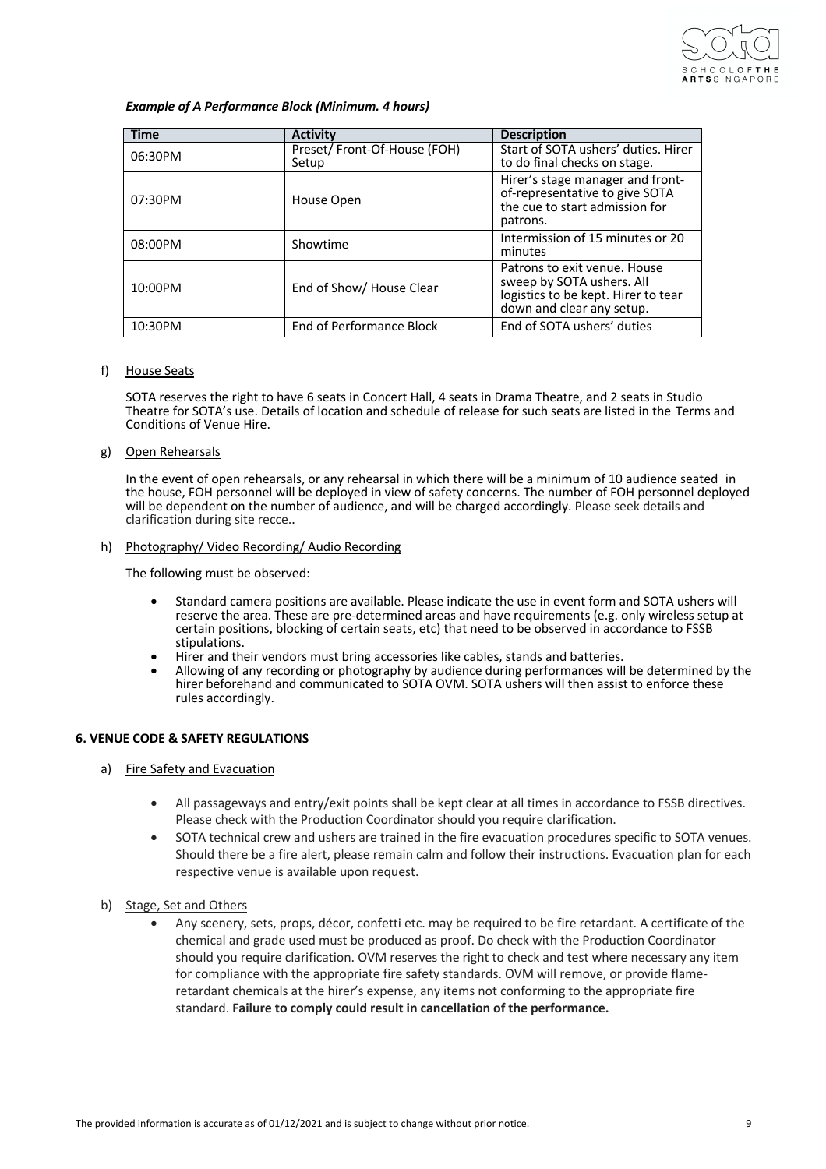

## *Example of A Performance Block (Minimum. 4 hours)*

| <b>Time</b> | <b>Activity</b>                      | <b>Description</b>                                                                                                            |
|-------------|--------------------------------------|-------------------------------------------------------------------------------------------------------------------------------|
| 06:30PM     | Preset/Front-Of-House (FOH)<br>Setup | Start of SOTA ushers' duties. Hirer<br>to do final checks on stage.                                                           |
| 07:30PM     | House Open                           | Hirer's stage manager and front-<br>of-representative to give SOTA<br>the cue to start admission for<br>patrons.              |
| 08:00PM     | Showtime                             | Intermission of 15 minutes or 20<br>minutes                                                                                   |
| $10:00$ PM  | End of Show/ House Clear             | Patrons to exit venue. House<br>sweep by SOTA ushers. All<br>logistics to be kept. Hirer to tear<br>down and clear any setup. |
| 10:30PM     | <b>End of Performance Block</b>      | End of SOTA ushers' duties                                                                                                    |

## f) House Seats

SOTA reserves the right to have 6 seats in Concert Hall, 4 seats in Drama Theatre, and 2 seats in Studio Theatre for SOTA's use. Details of location and schedule of release for such seats are listed in the Terms and Conditions of Venue Hire.

g) Open Rehearsals

In the event of open rehearsals, or any rehearsal in which there will be a minimum of 10 audience seated in the house, FOH personnel will be deployed in view of safety concerns. The number of FOH personnel deployed will be dependent on the number of audience, and will be charged accordingly. Please seek details and clarification during site recce..

h) Photography/ Video Recording/ Audio Recording

The following must be observed:

- Standard camera positions are available. Please indicate the use in event form and SOTA ushers will reserve the area. These are pre-determined areas and have requirements (e.g. only wireless setup at certain positions, blocking of certain seats, etc) that need to be observed in accordance to FSSB
- stipulations.<br>Hirer and their vendors must bring accessories like cables, stands and batteries.
- Allowing of any recording or photography by audience during performances will be determined by the hirer beforehand and communicated to SOTA OVM. SOTA ushers will then assist to enforce these rules accordingly.

# **6. VENUE CODE & SAFETY REGULATIONS**

- a) Fire Safety and Evacuation
	- All passageways and entry/exit points shall be kept clear at all times in accordance to FSSB directives. Please check with the Production Coordinator should you require clarification.
	- SOTA technical crew and ushers are trained in the fire evacuation procedures specific to SOTA venues. Should there be a fire alert, please remain calm and follow their instructions. Evacuation plan for each respective venue is available upon request.
- b) Stage, Set and Others
	- Any scenery, sets, props, décor, confetti etc. may be required to be fire retardant. A certificate of the chemical and grade used must be produced as proof. Do check with the Production Coordinator should you require clarification. OVM reserves the right to check and test where necessary any item for compliance with the appropriate fire safety standards. OVM will remove, or provide flameretardant chemicals at the hirer's expense, any items not conforming to the appropriate fire standard. **Failure to comply could result in cancellation of the performance.**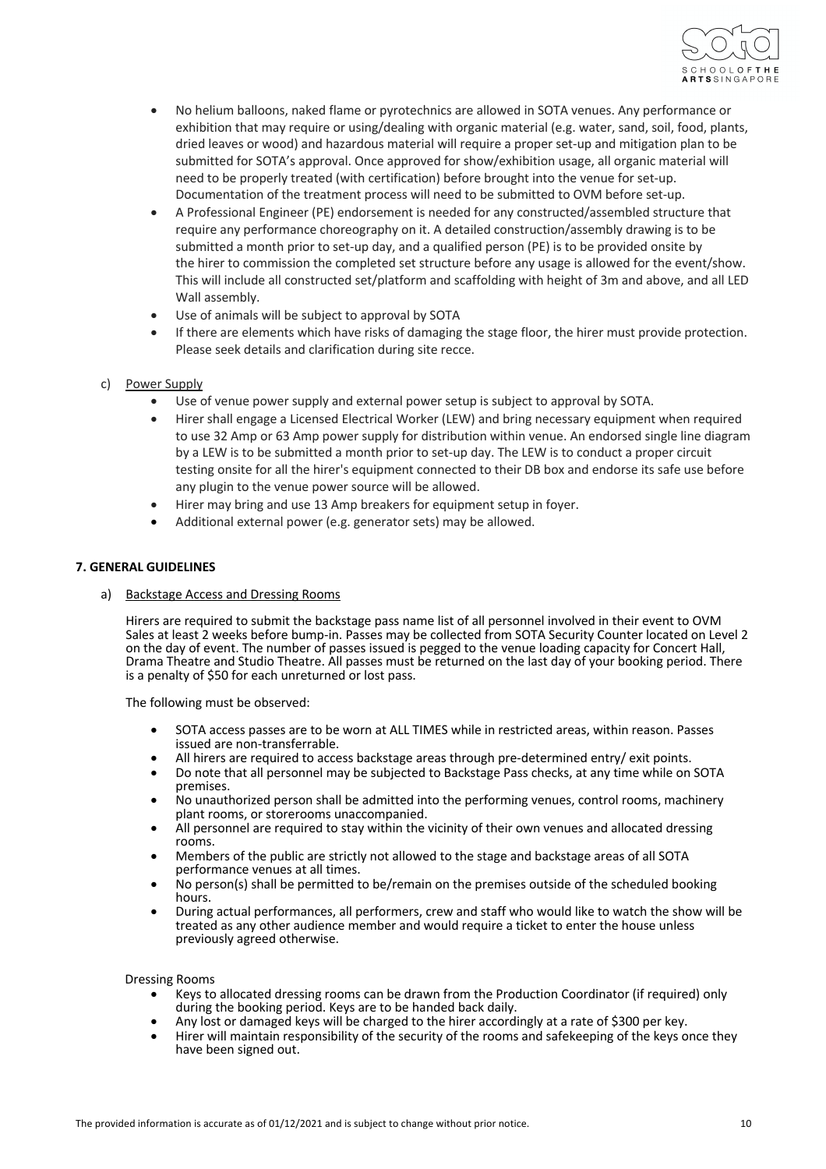

- No helium balloons, naked flame or pyrotechnics are allowed in SOTA venues. Any performance or exhibition that may require or using/dealing with organic material (e.g. water, sand, soil, food, plants, dried leaves or wood) and hazardous material will require a proper set-up and mitigation plan to be submitted for SOTA's approval. Once approved for show/exhibition usage, all organic material will need to be properly treated (with certification) before brought into the venue for set-up. Documentation of the treatment process will need to be submitted to OVM before set-up.
- A Professional Engineer (PE) endorsement is needed for any constructed/assembled structure that require any performance choreography on it. A detailed construction/assembly drawing is to be submitted a month prior to set-up day, and a qualified person (PE) is to be provided onsite by the hirer to commission the completed set structure before any usage is allowed for the event/show. This will include all constructed set/platform and scaffolding with height of 3m and above, and all LED Wall assembly.
- Use of animals will be subject to approval by SOTA
- If there are elements which have risks of damaging the stage floor, the hirer must provide protection. Please seek details and clarification during site recce.
- c) Power Supply
	- Use of venue power supply and external power setup is subject to approval by SOTA.
	- Hirer shall engage a Licensed Electrical Worker (LEW) and bring necessary equipment when required to use 32 Amp or 63 Amp power supply for distribution within venue. An endorsed single line diagram by a LEW is to be submitted a month prior to set-up day. The LEW is to conduct a proper circuit testing onsite for all the hirer's equipment connected to their DB box and endorse its safe use before any plugin to the venue power source will be allowed.
	- Hirer may bring and use 13 Amp breakers for equipment setup in foyer.
	- Additional external power (e.g. generator sets) may be allowed.

# **7. GENERAL GUIDELINES**

a) Backstage Access and Dressing Rooms

Hirers are required to submit the backstage pass name list of all personnel involved in their event to OVM Sales at least 2 weeks before bump-in. Passes may be collected from SOTA Security Counter located on Level 2 on the day of event. The number of passes issued is pegged to the venue loading capacity for Concert Hall, Drama Theatre and Studio Theatre. All passes must be returned on the last day of your booking period. There is a penalty of \$50 for each unreturned or lost pass.

The following must be observed:

- SOTA access passes are to be worn at ALL TIMES while in restricted areas, within reason. Passes issued are non-transferrable.
- All hirers are required to access backstage areas through pre-determined entry/ exit points.
- Do note that all personnel may be subjected to Backstage Pass checks, at any time while on SOTA premises.
- No unauthorized person shall be admitted into the performing venues, control rooms, machinery plant rooms, or storerooms unaccompanied.
- All personnel are required to stay within the vicinity of their own venues and allocated dressing rooms.
- Members of the public are strictly not allowed to the stage and backstage areas of all SOTA performance venues at all times.
- No person(s) shall be permitted to be/remain on the premises outside of the scheduled booking hours.
- During actual performances, all performers, crew and staff who would like to watch the show will be treated as any other audience member and would require a ticket to enter the house unless previously agreed otherwise.

Dressing Rooms

- Keys to allocated dressing rooms can be drawn from the Production Coordinator (if required) only during the booking period. Keys are to be handed back daily.
- Any lost or damaged keys will be charged to the hirer accordingly at a rate of \$300 per key.
- Hirer will maintain responsibility of the security of the rooms and safekeeping of the keys once they have been signed out.